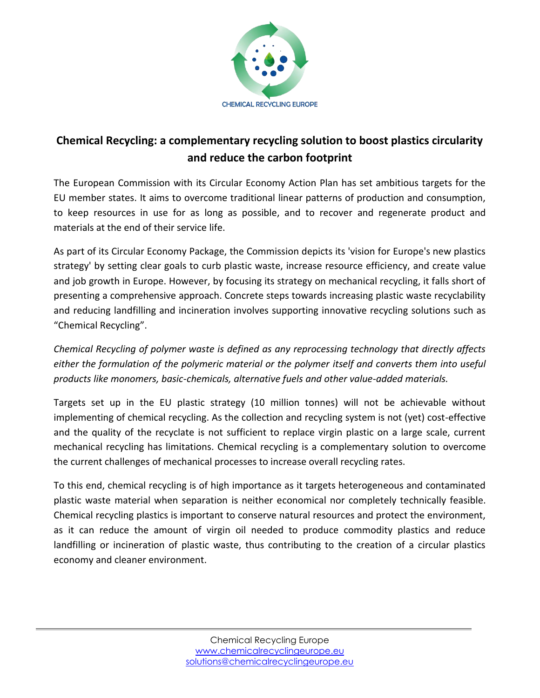

## **Chemical Recycling: a complementary recycling solution to boost plastics circularity and reduce the carbon footprint**

The European Commission with its Circular Economy Action Plan has set ambitious targets for the EU member states. It aims to overcome traditional linear patterns of production and consumption, to keep resources in use for as long as possible, and to recover and regenerate product and materials at the end of their service life.

As part of its Circular Economy Package, the Commission depicts its 'vision for Europe's new plastics strategy' by setting clear goals to curb plastic waste, increase resource efficiency, and create value and job growth in Europe. However, by focusing its strategy on mechanical recycling, it falls short of presenting a comprehensive approach. Concrete steps towards increasing plastic waste recyclability and reducing landfilling and incineration involves supporting innovative recycling solutions such as "Chemical Recycling".

*Chemical Recycling of polymer waste is defined as any reprocessing technology that directly affects either the formulation of the polymeric material or the polymer itself and converts them into useful products like monomers, basic-chemicals, alternative fuels and other value-added materials.*

Targets set up in the EU plastic strategy (10 million tonnes) will not be achievable without implementing of chemical recycling. As the collection and recycling system is not (yet) cost-effective and the quality of the recyclate is not sufficient to replace virgin plastic on a large scale, current mechanical recycling has limitations. Chemical recycling is a complementary solution to overcome the current challenges of mechanical processes to increase overall recycling rates.

To this end, chemical recycling is of high importance as it targets heterogeneous and contaminated plastic waste material when separation is neither economical nor completely technically feasible. Chemical recycling plastics is important to conserve natural resources and protect the environment, as it can reduce the amount of virgin oil needed to produce commodity plastics and reduce landfilling or incineration of plastic waste, thus contributing to the creation of a circular plastics economy and cleaner environment.